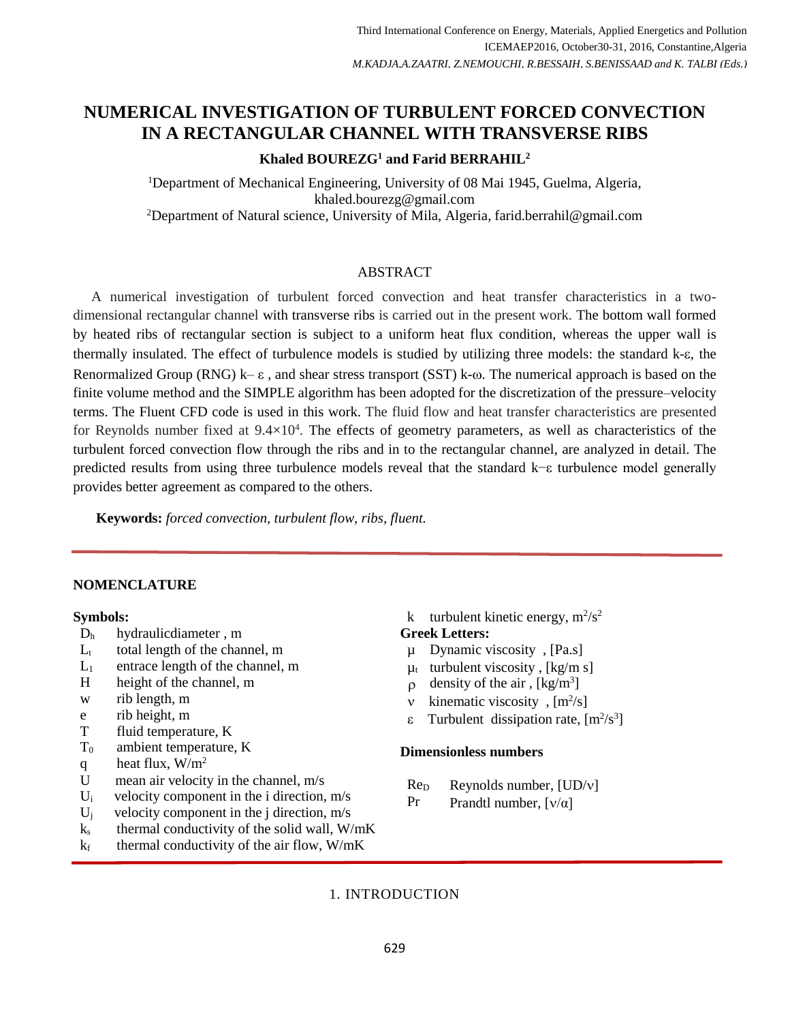# **NUMERICAL INVESTIGATION OF TURBULENT FORCED CONVECTION IN A RECTANGULAR CHANNEL WITH TRANSVERSE RIBS**

# **Khaled BOUREZG<sup>1</sup> and Farid BERRAHIL<sup>2</sup>**

<sup>1</sup>Department of Mechanical Engineering, University of 08 Mai 1945, Guelma, Algeria, khaled.bourezg@gmail.com <sup>2</sup>Department of Natural science, University of Mila, Algeria, farid.berrahil@gmail.com

## ABSTRACT

Third International Conference on Energy, Marcian Applied Energetics and Pollution<br>
from Conference on Energetics and Pollution<br>
LEADLA, ZATATIT, ZATATOCCIT, R.BTSSATIT, S.BTSSATIT, S.BTSSATIT, APPLICATION<br> **ENERGY, And P** A numerical investigation of turbulent forced convection and heat transfer characteristics in a twodimensional rectangular channel with transverse ribs is carried out in the present work. The bottom wall formed by heated ribs of rectangular section is subject to a uniform heat flux condition, whereas the upper wall is thermally insulated. The effect of turbulence models is studied by utilizing three models: the standard k- $\varepsilon$ , the Renormalized Group (RNG)  $k - \varepsilon$ , and shear stress transport (SST) k- $\omega$ . The numerical approach is based on the finite volume method and the SIMPLE algorithm has been adopted for the discretization of the pressure–velocity terms. The Fluent CFD code is used in this work. The fluid flow and heat transfer characteristics are presented for Reynolds number fixed at  $9.4\times10^4$ . The effects of geometry parameters, as well as characteristics of the turbulent forced convection flow through the ribs and in to the rectangular channel, are analyzed in detail. The predicted results from using three turbulence models reveal that the standard k−ε turbulence model generally provides better agreement as compared to the others.

**Keywords:** *forced convection, turbulent flow, ribs, fluent.*

#### **NOMENCLATURE**

#### **Symbols:**

- D<sup>h</sup> hydraulicdiameter , m
- $L_{t}$ total length of the channel, m
- $L_1$ entrace length of the channel, m
- H height of the channel, m
- w rib length, m
- e rib height, m
- T fluid temperature, K
- $T<sub>0</sub>$ ambient temperature, K
- q heat flux,  $W/m^2$
- U mean air velocity in the channel, m/s
- $U_i$  velocity component in the i direction, m/s
- $U_i$  velocity component in the j direction, m/s
- $k<sub>s</sub>$  thermal conductivity of the solid wall, W/mK
- $k_f$  thermal conductivity of the air flow, W/mK

## k turbulent kinetic energy,  $m^2/s^2$ **Greek Letters:**

- µ Dynamic viscosity , [Pa.s]
- $\mu_t$  turbulent viscosity, [kg/m s]
- $\rho$  density of the air, [kg/m<sup>3</sup>]
- v kinematic viscosity,  $[m^2/s]$
- $\epsilon$  Turbulent dissipation rate,  $[m^2/s^3]$

### **Dimensionless numbers**

- $Re_D$  Reynolds number,  $[UD/v]$
- Pr Prandtl number,  $[v/\alpha]$

## 1. INTRODUCTION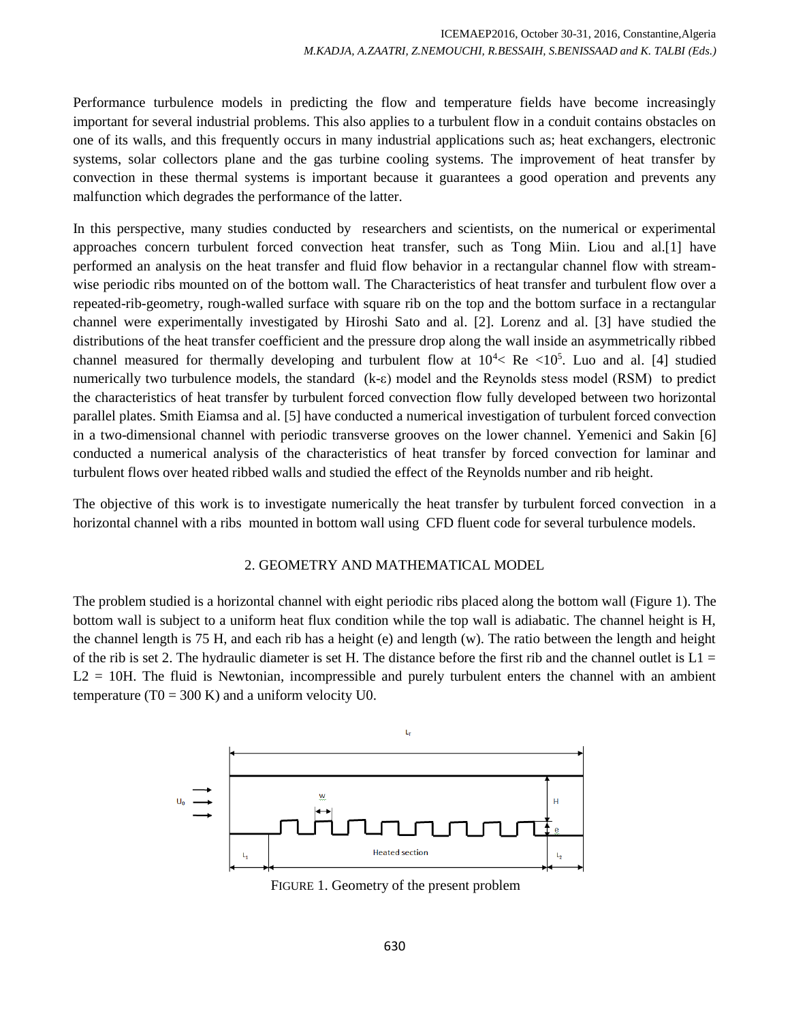Performance turbulence models in predicting the flow and temperature fields have become increasingly important for several industrial problems. This also applies to a turbulent flow in a conduit contains obstacles on one of its walls, and this frequently occurs in many industrial applications such as; heat exchangers, electronic systems, solar collectors plane and the gas turbine cooling systems. The improvement of heat transfer by convection in these thermal systems is important because it guarantees a good operation and prevents any malfunction which degrades the performance of the latter.

In this perspective, many studies conducted by researchers and scientists, on the numerical or experimental approaches concern turbulent forced convection heat transfer, such as Tong Miin. Liou and al.[1] have performed an analysis on the heat transfer and fluid flow behavior in a rectangular channel flow with streamwise periodic ribs mounted on of the bottom wall. The Characteristics of heat transfer and turbulent flow over a repeated-rib-geometry, rough-walled surface with square rib on the top and the bottom surface in a rectangular channel were experimentally investigated by Hiroshi Sato and al. [2]. Lorenz and al. [3] have studied the distributions of the heat transfer coefficient and the pressure drop along the wall inside an asymmetrically ribbed channel measured for thermally developing and turbulent flow at  $10^{4}$ < Re <10<sup>5</sup>. Luo and al. [4] studied numerically two turbulence models, the standard (k-ε) model and the Reynolds stess model (RSM) to predict the characteristics of heat transfer by turbulent forced convection flow fully developed between two horizontal parallel plates. Smith Eiamsa and al. [5] have conducted a numerical investigation of turbulent forced convection in a two-dimensional channel with periodic transverse grooves on the lower channel. Yemenici and Sakin [6] conducted a numerical analysis of the characteristics of heat transfer by forced convection for laminar and turbulent flows over heated ribbed walls and studied the effect of the Reynolds number and rib height.

The objective of this work is to investigate numerically the heat transfer by turbulent forced convection in a horizontal channel with a ribs mounted in bottom wall using CFD fluent code for several turbulence models.

#### 2. GEOMETRY AND MATHEMATICAL MODEL

The problem studied is a horizontal channel with eight periodic ribs placed along the bottom wall (Figure 1). The bottom wall is subject to a uniform heat flux condition while the top wall is adiabatic. The channel height is H, the channel length is 75 H, and each rib has a height (e) and length (w). The ratio between the length and height of the rib is set 2. The hydraulic diameter is set H. The distance before the first rib and the channel outlet is  $L1 =$  $L2 = 10H$ . The fluid is Newtonian, incompressible and purely turbulent enters the channel with an ambient temperature (T0 = 300 K) and a uniform velocity U0.



FIGURE 1. Geometry of the present problem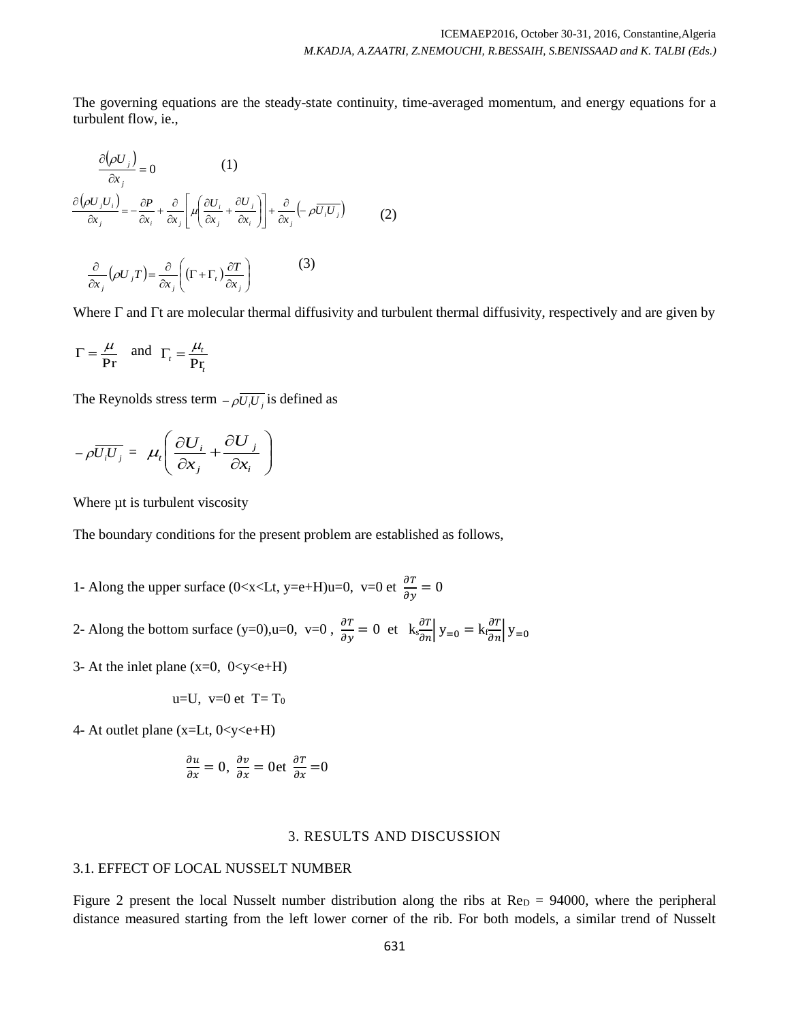The governing equations are the steady-state continuity, time-averaged momentum, and energy equations for a turbulent flow, ie.,

$$
\frac{\partial(\rho U_j)}{\partial x_j} = 0 \qquad (1)
$$
  

$$
\frac{\partial(\rho U_j U_i)}{\partial x_j} = -\frac{\partial P}{\partial x_i} + \frac{\partial}{\partial x_j} \left[ \mu \left( \frac{\partial U_i}{\partial x_j} + \frac{\partial U_j}{\partial x_i} \right) \right] + \frac{\partial}{\partial x_j} \left( -\rho \overline{U_i U_j} \right) \qquad (2)
$$
  

$$
\frac{\partial}{\partial x_j} (\rho U_j T) = \frac{\partial}{\partial x_j} \left( (\Gamma + \Gamma_i) \frac{\partial T}{\partial x_j} \right) \qquad (3)
$$

Where  $\Gamma$  and  $\Gamma$ t are molecular thermal diffusivity and turbulent thermal diffusivity, respectively and are given by

$$
\Gamma = \frac{\mu}{\mathbf{Pr}} \quad \text{and} \quad \Gamma_t = \frac{\mu_t}{\mathbf{Pr}_t}
$$

The Reynolds stress term  $-\rho \overline{U_i U_j}$  is defined as

$$
-\rho \overline{U_i U_j} = \mu_i \left( \frac{\partial U_i}{\partial x_j} + \frac{\partial U_j}{\partial x_i} \right)
$$

Where  $\mu$ t is turbulent viscosity

The boundary conditions for the present problem are established as follows,

- 1- Along the upper surface (0<x<Lt, y=e+H)u=0, v=0 et  $\frac{\partial T}{\partial y} = 0$
- 2- Along the bottom surface (y=0),u=0, v=0,  $\frac{\partial T}{\partial y} = 0$  et  $k \frac{\partial T}{\partial n} |y_{=0} = k \frac{\partial T}{\partial n} |y_{=0}$
- 3- At the inlet plane  $(x=0, 0 < y < e+H)$

$$
u=U, v=0 \text{ et } T=T_0
$$

4- At outlet plane  $(x=Lt, 0 < y < e+H)$ 

$$
\frac{\partial u}{\partial x} = 0, \ \frac{\partial v}{\partial x} = 0 \text{et } \frac{\partial T}{\partial x} = 0
$$

#### 3. RESULTS AND DISCUSSION

#### 3.1. EFFECT OF LOCAL NUSSELT NUMBER

Figure 2 present the local Nusselt number distribution along the ribs at  $Re<sub>D</sub> = 94000$ , where the peripheral distance measured starting from the left lower corner of the rib. For both models, a similar trend of Nusselt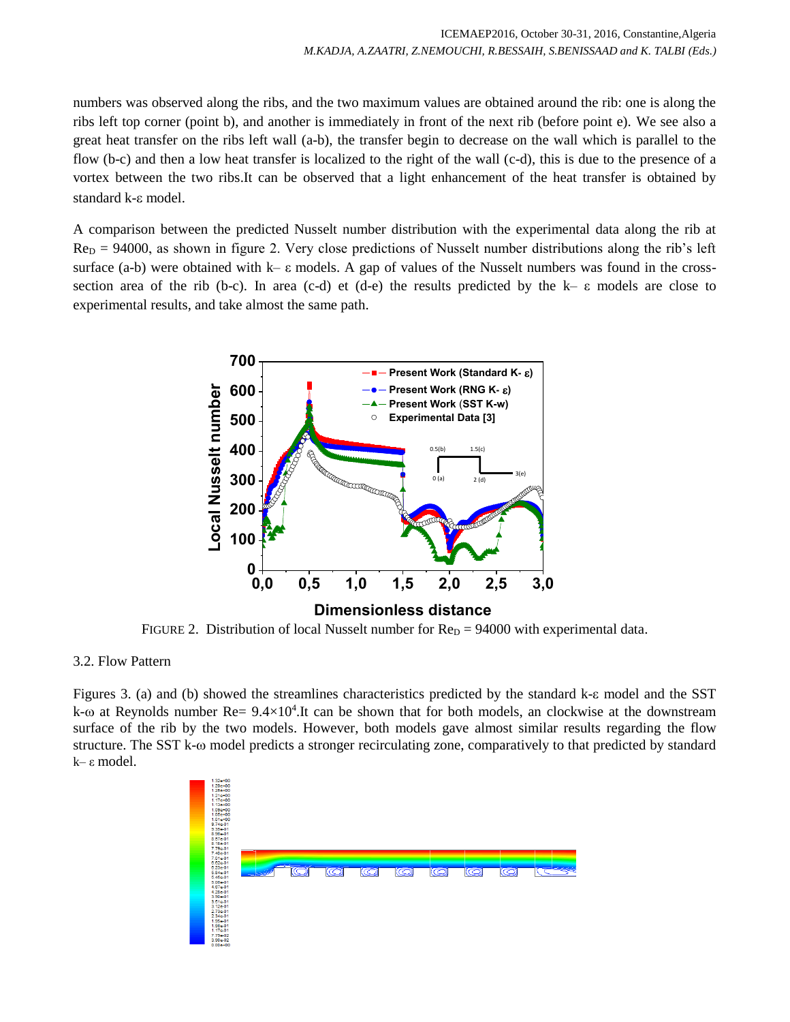numbers was observed along the ribs, and the two maximum values are obtained around the rib: one is along the ribs left top corner (point b), and another is immediately in front of the next rib (before point e). We see also a great heat transfer on the ribs left wall (a-b), the transfer begin to decrease on the wall which is parallel to the flow (b-c) and then a low heat transfer is localized to the right of the wall (c-d), this is due to the presence of a vortex between the two ribs.It can be observed that a light enhancement of the heat transfer is obtained by standard k- $\varepsilon$  model.

A comparison between the predicted Nusselt number distribution with the experimental data along the rib at  $Re_D = 94000$ , as shown in figure 2. Very close predictions of Nusselt number distributions along the rib's left surface (a-b) were obtained with k– ε models. A gap of values of the Nusselt numbers was found in the crosssection area of the rib (b-c). In area (c-d) et (d-e) the results predicted by the k– ε models are close to experimental results, and take almost the same path.



FIGURE 2. Distribution of local Nusselt number for  $Re<sub>D</sub> = 94000$  with experimental data.

#### 3.2. Flow Pattern

Figures 3. (a) and (b) showed the streamlines characteristics predicted by the standard k- $\varepsilon$  model and the SST  $k$ - $\omega$  at Reynolds number Re=  $9.4 \times 10^4$ . It can be shown that for both models, an clockwise at the downstream surface of the rib by the two models. However, both models gave almost similar results regarding the flow structure. The SST k- $\omega$  model predicts a stronger recirculating zone, comparatively to that predicted by standard k– ε model.

| $1.32e+00$<br>$1.29e+00$<br>$1.25e+00$<br>$1.21e+00$<br>$1.17e + 00$<br>$1.13e+00$<br>$1.09e + 00$<br>$1.05e+00$<br>$1.01e+00$<br>$9.74e-01$<br>$9.35e-01$<br>8.964-01<br>8.57e-01<br>$8.18 - 01$<br>7.79e-01                                            |   |    |     |     |    |     |    |  |
|----------------------------------------------------------------------------------------------------------------------------------------------------------------------------------------------------------------------------------------------------------|---|----|-----|-----|----|-----|----|--|
| 7.40e-01<br>7.01e-01<br>$6.62e-01$<br>$6.23e-01$<br>5.84e-01<br>5.45e-01<br>5.06e-01<br>4.67e-01<br>4.28e-01<br>3.90e-01<br>3.51e-01<br>$3.12e-01$<br>$2.73e-01$<br>2.34e-01<br>1.95e-01<br>1.56e-01<br>$1.17e-01$<br>7.79e-02<br>3.90e-02<br>$0.00e+00$ | Ō | lo | loi | lci | lo | kol | lo |  |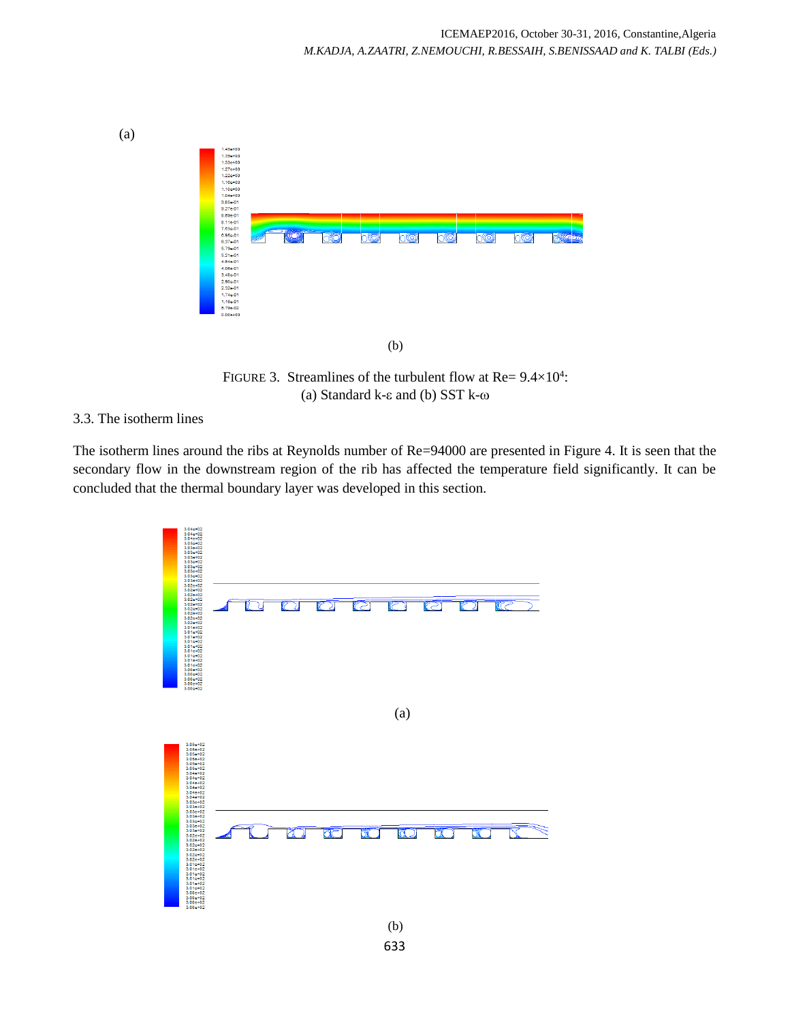

FIGURE 3. Streamlines of the turbulent flow at Re=  $9.4 \times 10^4$ : (a) Standard k- $\varepsilon$  and (b) SST k- $\omega$ 

## 3.3. The isotherm lines

The isotherm lines around the ribs at Reynolds number of Re=94000 are presented in Figure 4. It is seen that the secondary flow in the downstream region of the rib has affected the temperature field significantly. It can be concluded that the thermal boundary layer was developed in this section.